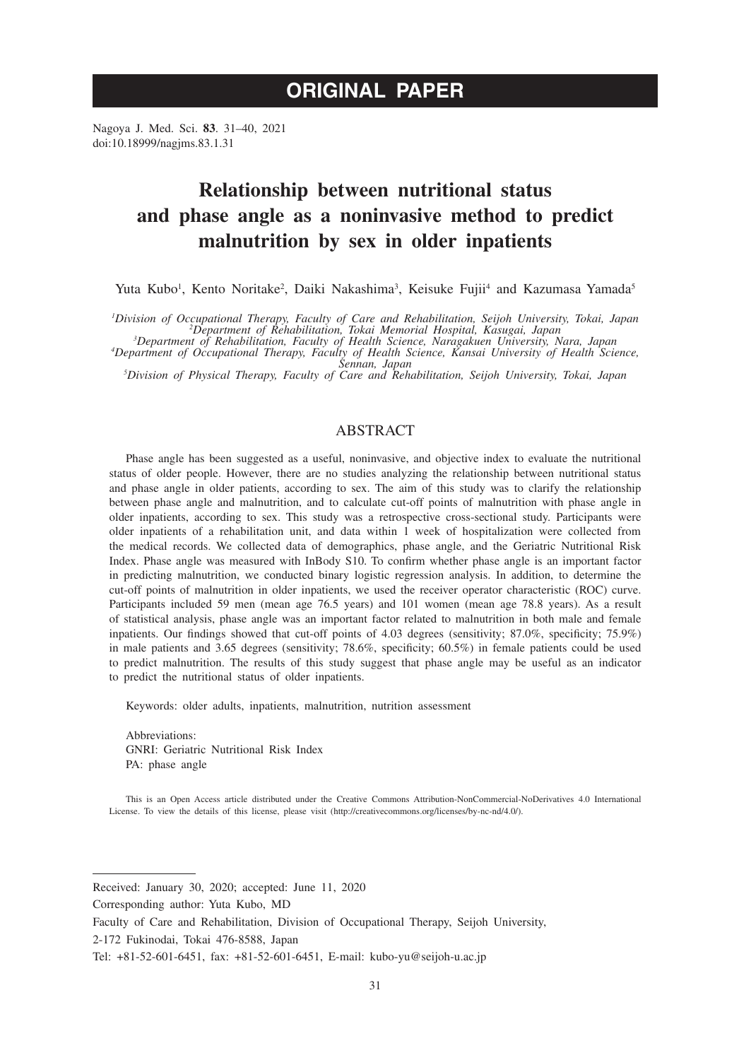# **ORIGINAL PAPER**

Nagoya J. Med. Sci. **83**. 31–40, 2021 doi:10.18999/nagjms.83.1.31

# **Relationship between nutritional status and phase angle as a noninvasive method to predict malnutrition by sex in older inpatients**

Yuta Kubo<sup>1</sup>, Kento Noritake<sup>2</sup>, Daiki Nakashima<sup>3</sup>, Keisuke Fujii<sup>4</sup> and Kazumasa Yamada<sup>5</sup>

*Pivision of Occupational Therapy, Faculty of Care and Rehabilitation, Seijoh University, Tokai, Japan*<br><sup>2</sup>Department of Rehabilitation, Tokai Memorial Hospital, Kasugai, Japan<sup>2</sup><br><sup>3</sup>Department of Rehabilitation, Faculty o

*Department of Occupational Therapy, Faculty of Health Science, Kansai University of Health Science, Sennan, Japan <sup>5</sup> Division of Physical Therapy, Faculty of Care and Rehabilitation, Seijoh University, Tokai, Japan*

# ABSTRACT

Phase angle has been suggested as a useful, noninvasive, and objective index to evaluate the nutritional status of older people. However, there are no studies analyzing the relationship between nutritional status and phase angle in older patients, according to sex. The aim of this study was to clarify the relationship between phase angle and malnutrition, and to calculate cut-off points of malnutrition with phase angle in older inpatients, according to sex. This study was a retrospective cross-sectional study. Participants were older inpatients of a rehabilitation unit, and data within 1 week of hospitalization were collected from the medical records. We collected data of demographics, phase angle, and the Geriatric Nutritional Risk Index. Phase angle was measured with InBody S10. To confirm whether phase angle is an important factor in predicting malnutrition, we conducted binary logistic regression analysis. In addition, to determine the cut-off points of malnutrition in older inpatients, we used the receiver operator characteristic (ROC) curve. Participants included 59 men (mean age 76.5 years) and 101 women (mean age 78.8 years). As a result of statistical analysis, phase angle was an important factor related to malnutrition in both male and female inpatients. Our findings showed that cut-off points of 4.03 degrees (sensitivity; 87.0%, specificity; 75.9%) in male patients and 3.65 degrees (sensitivity; 78.6%, specificity; 60.5%) in female patients could be used to predict malnutrition. The results of this study suggest that phase angle may be useful as an indicator to predict the nutritional status of older inpatients.

Keywords: older adults, inpatients, malnutrition, nutrition assessment

Abbreviations: GNRI: Geriatric Nutritional Risk Index PA: phase angle

This is an Open Access article distributed under the Creative Commons Attribution-NonCommercial-NoDerivatives 4.0 International License. To view the details of this license, please visit (http://creativecommons.org/licenses/by-nc-nd/4.0/).

Received: January 30, 2020; accepted: June 11, 2020

Corresponding author: Yuta Kubo, MD

Faculty of Care and Rehabilitation, Division of Occupational Therapy, Seijoh University,

<sup>2-172</sup> Fukinodai, Tokai 476-8588, Japan

Tel: +81-52-601-6451, fax: +81-52-601-6451, E-mail: kubo-yu@seijoh-u.ac.jp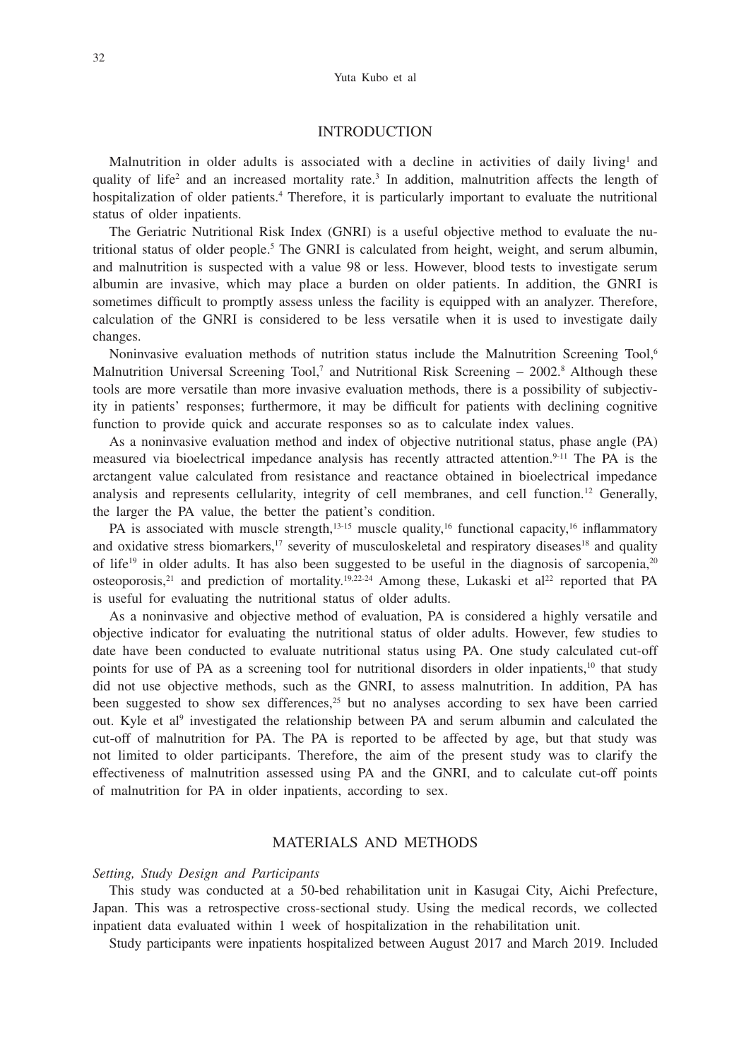## INTRODUCTION

Malnutrition in older adults is associated with a decline in activities of daily living<sup>1</sup> and quality of life<sup>2</sup> and an increased mortality rate.<sup>3</sup> In addition, malnutrition affects the length of hospitalization of older patients.<sup>4</sup> Therefore, it is particularly important to evaluate the nutritional status of older inpatients.

The Geriatric Nutritional Risk Index (GNRI) is a useful objective method to evaluate the nutritional status of older people.<sup>5</sup> The GNRI is calculated from height, weight, and serum albumin, and malnutrition is suspected with a value 98 or less. However, blood tests to investigate serum albumin are invasive, which may place a burden on older patients. In addition, the GNRI is sometimes difficult to promptly assess unless the facility is equipped with an analyzer. Therefore, calculation of the GNRI is considered to be less versatile when it is used to investigate daily changes.

Noninvasive evaluation methods of nutrition status include the Malnutrition Screening Tool,<sup>6</sup> Malnutrition Universal Screening Tool,<sup>7</sup> and Nutritional Risk Screening  $-2002$ .<sup>8</sup> Although these tools are more versatile than more invasive evaluation methods, there is a possibility of subjectivity in patients' responses; furthermore, it may be difficult for patients with declining cognitive function to provide quick and accurate responses so as to calculate index values.

As a noninvasive evaluation method and index of objective nutritional status, phase angle (PA) measured via bioelectrical impedance analysis has recently attracted attention.<sup>9-11</sup> The PA is the arctangent value calculated from resistance and reactance obtained in bioelectrical impedance analysis and represents cellularity, integrity of cell membranes, and cell function.12 Generally, the larger the PA value, the better the patient's condition.

PA is associated with muscle strength, $13-15$  muscle quality, $16$  functional capacity, $16$  inflammatory and oxidative stress biomarkers,<sup>17</sup> severity of musculoskeletal and respiratory diseases<sup>18</sup> and quality of life<sup>19</sup> in older adults. It has also been suggested to be useful in the diagnosis of sarcopenia,<sup>20</sup> osteoporosis,<sup>21</sup> and prediction of mortality.<sup>19,22-24</sup> Among these, Lukaski et al<sup>22</sup> reported that PA is useful for evaluating the nutritional status of older adults.

As a noninvasive and objective method of evaluation, PA is considered a highly versatile and objective indicator for evaluating the nutritional status of older adults. However, few studies to date have been conducted to evaluate nutritional status using PA. One study calculated cut-off points for use of PA as a screening tool for nutritional disorders in older inpatients,<sup>10</sup> that study did not use objective methods, such as the GNRI, to assess malnutrition. In addition, PA has been suggested to show sex differences,<sup>25</sup> but no analyses according to sex have been carried out. Kyle et al<sup>9</sup> investigated the relationship between PA and serum albumin and calculated the cut-off of malnutrition for PA. The PA is reported to be affected by age, but that study was not limited to older participants. Therefore, the aim of the present study was to clarify the effectiveness of malnutrition assessed using PA and the GNRI, and to calculate cut-off points of malnutrition for PA in older inpatients, according to sex.

## MATERIALS AND METHODS

#### *Setting, Study Design and Participants*

This study was conducted at a 50-bed rehabilitation unit in Kasugai City, Aichi Prefecture, Japan. This was a retrospective cross-sectional study. Using the medical records, we collected inpatient data evaluated within 1 week of hospitalization in the rehabilitation unit.

Study participants were inpatients hospitalized between August 2017 and March 2019. Included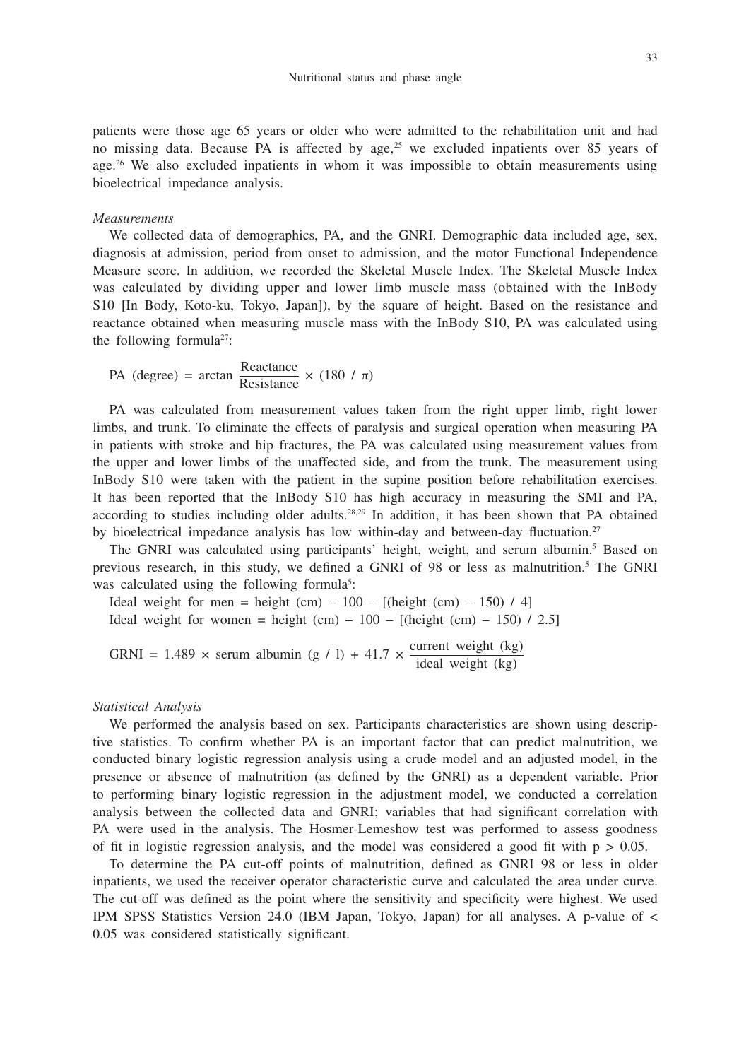patients were those age 65 years or older who were admitted to the rehabilitation unit and had no missing data. Because PA is affected by age,<sup>25</sup> we excluded inpatients over 85 years of age.<sup>26</sup> We also excluded inpatients in whom it was impossible to obtain measurements using bioelectrical impedance analysis.

#### *Measurements*

We collected data of demographics, PA, and the GNRI. Demographic data included age, sex, diagnosis at admission, period from onset to admission, and the motor Functional Independence Measure score. In addition, we recorded the Skeletal Muscle Index. The Skeletal Muscle Index was calculated by dividing upper and lower limb muscle mass (obtained with the InBody S10 [In Body, Koto-ku, Tokyo, Japan]), by the square of height. Based on the resistance and reactance obtained when measuring muscle mass with the InBody S10, PA was calculated using the following formula<sup>27</sup>:

PA (degree) = arctan  $\frac{\text{Reactance}}{\text{Resistance}} \times (180 / \pi)$ 

PA was calculated from measurement values taken from the right upper limb, right lower limbs, and trunk. To eliminate the effects of paralysis and surgical operation when measuring PA in patients with stroke and hip fractures, the PA was calculated using measurement values from the upper and lower limbs of the unaffected side, and from the trunk. The measurement using InBody S10 were taken with the patient in the supine position before rehabilitation exercises. It has been reported that the InBody S10 has high accuracy in measuring the SMI and PA, according to studies including older adults.<sup>28,29</sup> In addition, it has been shown that PA obtained by bioelectrical impedance analysis has low within-day and between-day fluctuation.<sup>27</sup>

The GNRI was calculated using participants' height, weight, and serum albumin.<sup>5</sup> Based on previous research, in this study, we defined a GNRI of 98 or less as malnutrition.5 The GNRI was calculated using the following formula<sup>5</sup>:

Ideal weight for men = height (cm)  $-100 - [(height (cm) - 150) / 4]$ Ideal weight for women = height (cm)  $-100 -$  [(height (cm)  $-150$ ) / 2.5]

GRNI = 1.489  $\times$  serum albumin (g / l) + 41.7  $\times$  current weight (kg) ideal weight (kg)

#### *Statistical Analysis*

We performed the analysis based on sex. Participants characteristics are shown using descriptive statistics. To confirm whether PA is an important factor that can predict malnutrition, we conducted binary logistic regression analysis using a crude model and an adjusted model, in the presence or absence of malnutrition (as defined by the GNRI) as a dependent variable. Prior to performing binary logistic regression in the adjustment model, we conducted a correlation analysis between the collected data and GNRI; variables that had significant correlation with PA were used in the analysis. The Hosmer-Lemeshow test was performed to assess goodness of fit in logistic regression analysis, and the model was considered a good fit with  $p > 0.05$ .

To determine the PA cut-off points of malnutrition, defined as GNRI 98 or less in older inpatients, we used the receiver operator characteristic curve and calculated the area under curve. The cut-off was defined as the point where the sensitivity and specificity were highest. We used IPM SPSS Statistics Version 24.0 (IBM Japan, Tokyo, Japan) for all analyses. A p-value of < 0.05 was considered statistically significant.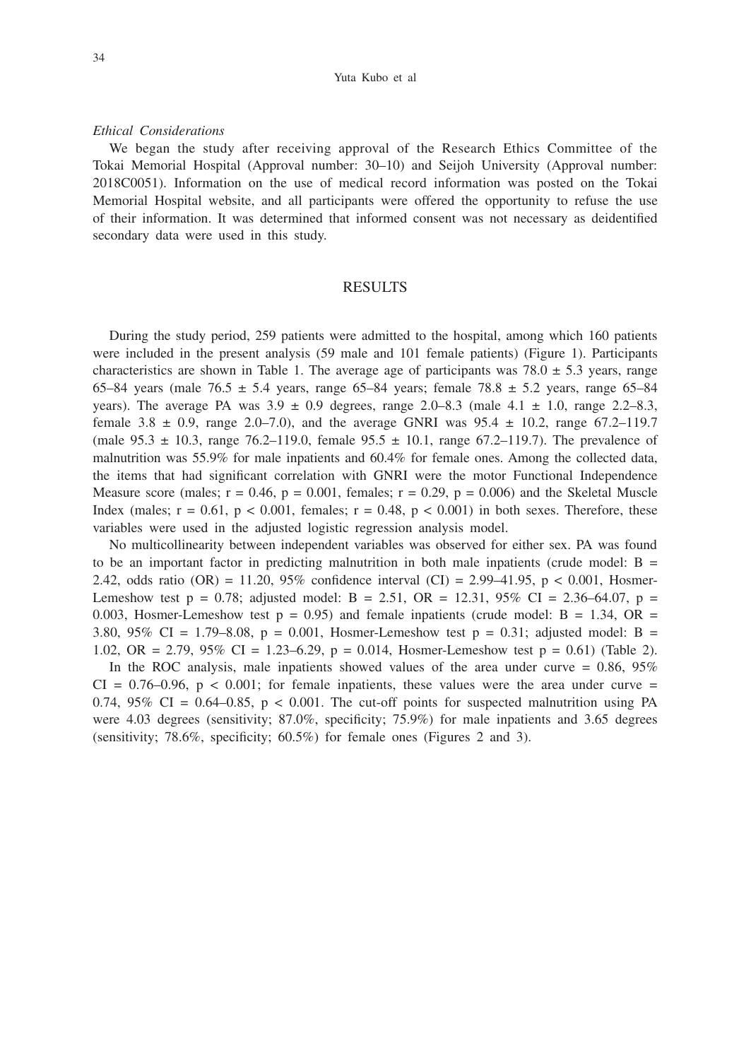#### *Ethical Considerations*

We began the study after receiving approval of the Research Ethics Committee of the Tokai Memorial Hospital (Approval number: 30–10) and Seijoh University (Approval number: 2018C0051). Information on the use of medical record information was posted on the Tokai Memorial Hospital website, and all participants were offered the opportunity to refuse the use of their information. It was determined that informed consent was not necessary as deidentified secondary data were used in this study.

## RESULTS

During the study period, 259 patients were admitted to the hospital, among which 160 patients were included in the present analysis (59 male and 101 female patients) (Figure 1). Participants characteristics are shown in Table 1. The average age of participants was  $78.0 \pm 5.3$  years, range 65–84 years (male 76.5  $\pm$  5.4 years, range 65–84 years; female 78.8  $\pm$  5.2 years, range 65–84 years). The average PA was  $3.9 \pm 0.9$  degrees, range 2.0–8.3 (male  $4.1 \pm 1.0$ , range 2.2–8.3, female  $3.8 \pm 0.9$ , range  $2.0 - 7.0$ ), and the average GNRI was  $95.4 \pm 10.2$ , range  $67.2 - 119.7$ (male  $95.3 \pm 10.3$ , range  $76.2{\text -}119.0$ , female  $95.5 \pm 10.1$ , range  $67.2{\text -}119.7$ ). The prevalence of malnutrition was 55.9% for male inpatients and 60.4% for female ones. Among the collected data, the items that had significant correlation with GNRI were the motor Functional Independence Measure score (males;  $r = 0.46$ ,  $p = 0.001$ , females;  $r = 0.29$ ,  $p = 0.006$ ) and the Skeletal Muscle Index (males;  $r = 0.61$ ,  $p < 0.001$ , females;  $r = 0.48$ ,  $p < 0.001$ ) in both sexes. Therefore, these variables were used in the adjusted logistic regression analysis model.

No multicollinearity between independent variables was observed for either sex. PA was found to be an important factor in predicting malnutrition in both male inpatients (crude model:  $B =$ 2.42, odds ratio (OR) = 11.20, 95% confidence interval (CI) = 2.99–41.95, p < 0.001, Hosmer-Lemeshow test p = 0.78; adjusted model: B = 2.51, OR = 12.31,  $95\%$  CI = 2.36–64.07, p = 0.003, Hosmer-Lemeshow test  $p = 0.95$ ) and female inpatients (crude model: B = 1.34, OR = 3.80, 95% CI = 1.79–8.08, p = 0.001, Hosmer-Lemeshow test p = 0.31; adjusted model: B = 1.02, OR = 2.79, 95% CI = 1.23–6.29, p = 0.014, Hosmer-Lemeshow test p = 0.61) (Table 2).

In the ROC analysis, male inpatients showed values of the area under curve  $= 0.86, 95\%$  $CI = 0.76{\text -}0.96$ ,  $p < 0.001$ ; for female inpatients, these values were the area under curve = 0.74, 95% CI =  $0.64 - 0.85$ , p < 0.001. The cut-off points for suspected malnutrition using PA were 4.03 degrees (sensitivity; 87.0%, specificity; 75.9%) for male inpatients and 3.65 degrees (sensitivity; 78.6%, specificity; 60.5%) for female ones (Figures 2 and 3).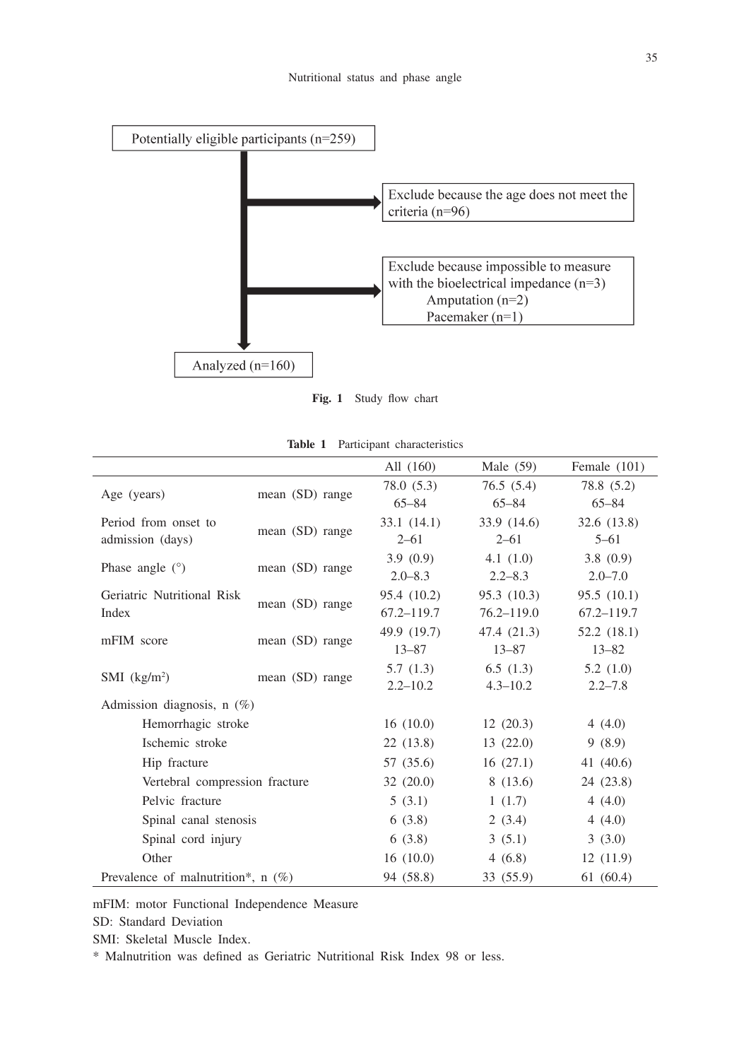

**Fig. 1** Study flow chart

| Table 1 |  |  | Participant characteristics |
|---------|--|--|-----------------------------|
|---------|--|--|-----------------------------|

|                                      |                 | All (160)    | Male $(59)$    | Female (101)   |
|--------------------------------------|-----------------|--------------|----------------|----------------|
|                                      |                 | 78.0 (5.3)   | 76.5(5.4)      | 78.8 (5.2)     |
| Age (years)                          | mean (SD) range | $65 - 84$    | $65 - 84$      | $65 - 84$      |
| Period from onset to                 |                 | 33.1(14.1)   | 33.9(14.6)     | 32.6 (13.8)    |
| admission (days)                     | mean (SD) range | $2 - 61$     | $2 - 61$       | $5 - 61$       |
|                                      |                 | 3.9(0.9)     | 4.1 $(1.0)$    | 3.8(0.9)       |
| Phase angle $(°)$                    | mean (SD) range | $2.0 - 8.3$  | $2.2 - 8.3$    | $2.0 - 7.0$    |
| Geriatric Nutritional Risk           |                 | 95.4 (10.2)  | 95.3(10.3)     | 95.5(10.1)     |
| Index                                | mean (SD) range | 67.2–119.7   | $76.2 - 119.0$ | $67.2 - 119.7$ |
| mFIM score                           |                 | 49.9 (19.7)  | 47.4 (21.3)    | 52.2(18.1)     |
|                                      | mean (SD) range | $13 - 87$    | $13 - 87$      | $13 - 82$      |
|                                      |                 | 5.7(1.3)     | 6.5(1.3)       | 5.2(1.0)       |
| $SMI$ (kg/m <sup>2</sup> )           | mean (SD) range | $2.2 - 10.2$ | $4.3 - 10.2$   | $2.2 - 7.8$    |
| Admission diagnosis, $n$ (%)         |                 |              |                |                |
| Hemorrhagic stroke                   | 16(10.0)        | 12(20.3)     | 4(4.0)         |                |
| Ischemic stroke                      | 22(13.8)        | 13(22.0)     | 9(8.9)         |                |
| Hip fracture                         | 57 (35.6)       | 16(27.1)     | 41 (40.6)      |                |
| Vertebral compression fracture       | 32(20.0)        | 8(13.6)      | 24 (23.8)      |                |
| Pelvic fracture                      | 5(3.1)          | 1(1.7)       | 4(4.0)         |                |
| Spinal canal stenosis                | 6(3.8)          | 2(3.4)       | 4(4.0)         |                |
| Spinal cord injury                   | 6(3.8)          | 3(5.1)       | 3(3.0)         |                |
| Other                                | 16(10.0)        | 4(6.8)       | 12(11.9)       |                |
| Prevalence of malnutrition*, $n$ (%) | 94 (58.8)       | 33 (55.9)    | 61(60.4)       |                |

mFIM: motor Functional Independence Measure

SD: Standard Deviation

SMI: Skeletal Muscle Index.

\* Malnutrition was defined as Geriatric Nutritional Risk Index 98 or less.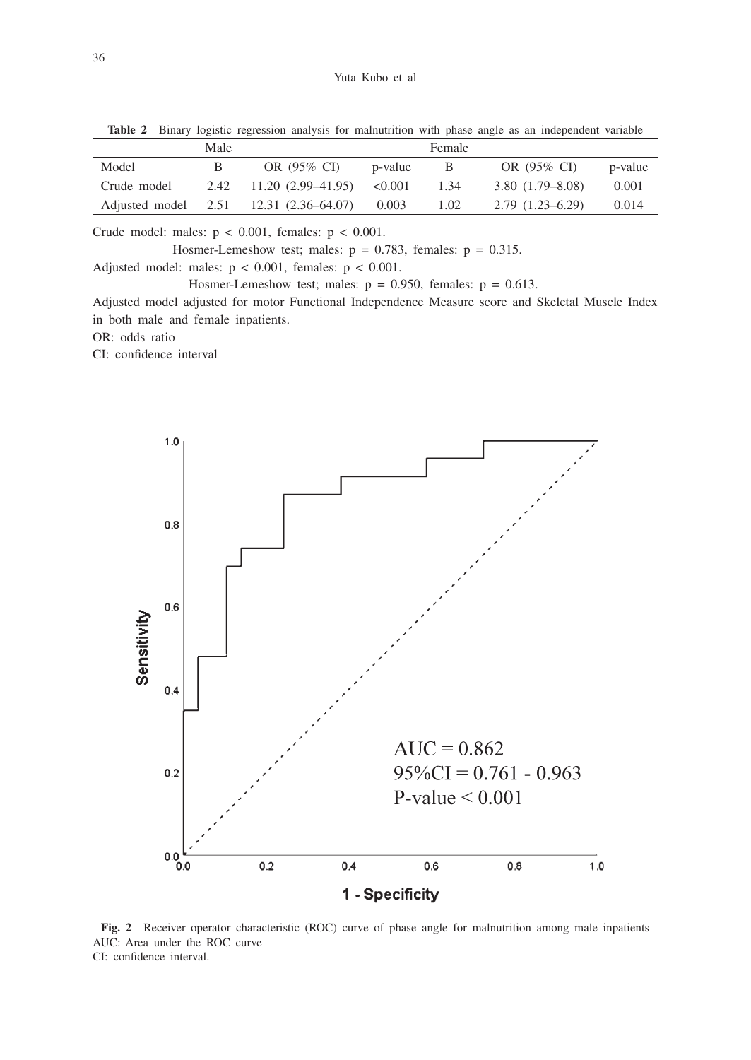|             | Male         |                                        |         | Female |                     |         |
|-------------|--------------|----------------------------------------|---------|--------|---------------------|---------|
| Model       | $\mathbf{B}$ | OR (95% CI)                            | p-value | B      | OR (95% CI)         | p-value |
| Crude model |              | $2.42$ 11.20 (2.99-41.95) < 0.001      |         | 1.34   | $3.80(1.79-8.08)$   | 0.001   |
|             |              | Adjusted model 2.51 12.31 (2.36–64.07) | 0.003   | 1.02   | $2.79(1.23 - 6.29)$ | 0.014   |

**Table 2** Binary logistic regression analysis for malnutrition with phase angle as an independent variable

Crude model: males:  $p < 0.001$ , females:  $p < 0.001$ .

Hosmer-Lemeshow test; males:  $p = 0.783$ , females:  $p = 0.315$ . Adjusted model: males:  $p < 0.001$ , females:  $p < 0.001$ .

Hosmer-Lemeshow test; males:  $p = 0.950$ , females:  $p = 0.613$ .

Adjusted model adjusted for motor Functional Independence Measure score and Skeletal Muscle Index in both male and female inpatients.

OR: odds ratio

CI: confidence interval



**Fig. 2** Receiver operator characteristic (ROC) curve of phase angle for malnutrition among male inpatients AUC: Area under the ROC curve CI: confidence interval.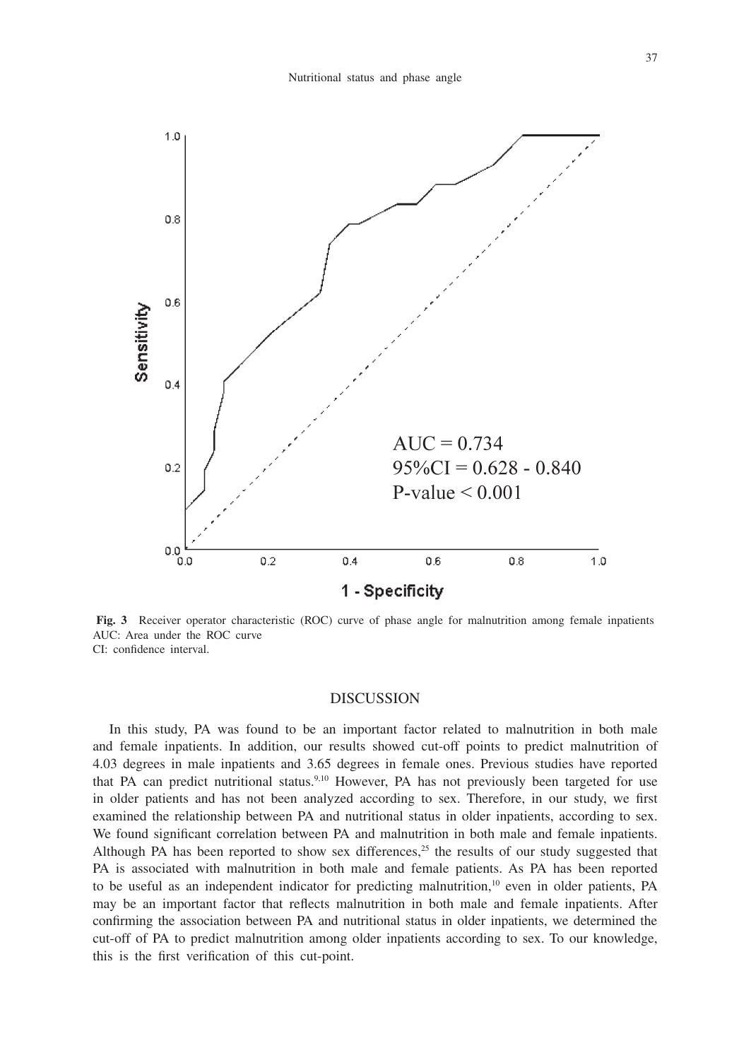

**Fig. 3** Receiver operator characteristic (ROC) curve of phase angle for malnutrition among female inpatients AUC: Area under the ROC curve CI: confidence interval.

## DISCUSSION

In this study, PA was found to be an important factor related to malnutrition in both male and female inpatients. In addition, our results showed cut-off points to predict malnutrition of 4.03 degrees in male inpatients and 3.65 degrees in female ones. Previous studies have reported that PA can predict nutritional status.<sup>9,10</sup> However, PA has not previously been targeted for use in older patients and has not been analyzed according to sex. Therefore, in our study, we first examined the relationship between PA and nutritional status in older inpatients, according to sex. We found significant correlation between PA and malnutrition in both male and female inpatients. Although PA has been reported to show sex differences, $25$  the results of our study suggested that PA is associated with malnutrition in both male and female patients. As PA has been reported to be useful as an independent indicator for predicting malnutrition, $10$  even in older patients, PA may be an important factor that reflects malnutrition in both male and female inpatients. After confirming the association between PA and nutritional status in older inpatients, we determined the cut-off of PA to predict malnutrition among older inpatients according to sex. To our knowledge, this is the first verification of this cut-point.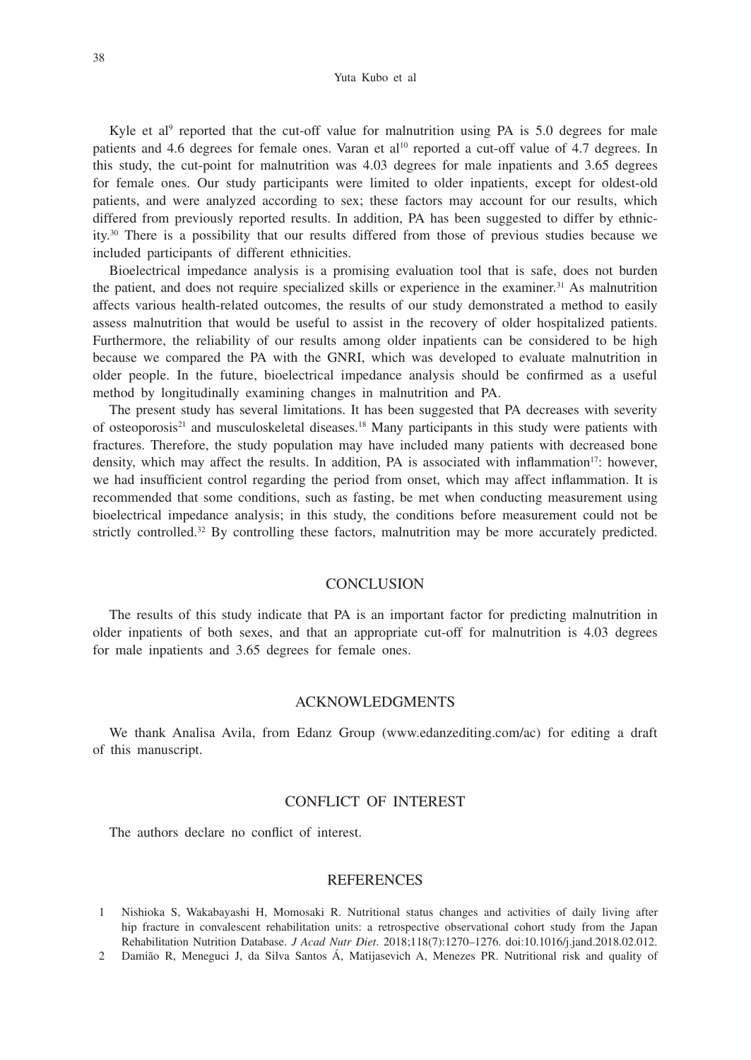Yuta Kubo et al

Kyle et al<sup>9</sup> reported that the cut-off value for malnutrition using PA is  $5.0$  degrees for male patients and 4.6 degrees for female ones. Varan et al<sup>10</sup> reported a cut-off value of 4.7 degrees. In this study, the cut-point for malnutrition was 4.03 degrees for male inpatients and 3.65 degrees for female ones. Our study participants were limited to older inpatients, except for oldest-old patients, and were analyzed according to sex; these factors may account for our results, which differed from previously reported results. In addition, PA has been suggested to differ by ethnicity.30 There is a possibility that our results differed from those of previous studies because we included participants of different ethnicities.

Bioelectrical impedance analysis is a promising evaluation tool that is safe, does not burden the patient, and does not require specialized skills or experience in the examiner.31 As malnutrition affects various health-related outcomes, the results of our study demonstrated a method to easily assess malnutrition that would be useful to assist in the recovery of older hospitalized patients. Furthermore, the reliability of our results among older inpatients can be considered to be high because we compared the PA with the GNRI, which was developed to evaluate malnutrition in older people. In the future, bioelectrical impedance analysis should be confirmed as a useful method by longitudinally examining changes in malnutrition and PA.

The present study has several limitations. It has been suggested that PA decreases with severity of osteoporosis<sup>21</sup> and musculoskeletal diseases.<sup>18</sup> Many participants in this study were patients with fractures. Therefore, the study population may have included many patients with decreased bone density, which may affect the results. In addition, PA is associated with inflammation<sup>17</sup>: however, we had insufficient control regarding the period from onset, which may affect inflammation. It is recommended that some conditions, such as fasting, be met when conducting measurement using bioelectrical impedance analysis; in this study, the conditions before measurement could not be strictly controlled.<sup>32</sup> By controlling these factors, malnutrition may be more accurately predicted.

## **CONCLUSION**

The results of this study indicate that PA is an important factor for predicting malnutrition in older inpatients of both sexes, and that an appropriate cut-off for malnutrition is 4.03 degrees for male inpatients and 3.65 degrees for female ones.

### ACKNOWLEDGMENTS

We thank Analisa Avila, from Edanz Group (www.edanzediting.com/ac) for editing a draft of this manuscript.

## CONFLICT OF INTEREST

The authors declare no conflict of interest.

### **REFERENCES**

2 Damião R, Meneguci J, da Silva Santos Á, Matijasevich A, Menezes PR. Nutritional risk and quality of

<sup>1</sup> Nishioka S, Wakabayashi H, Momosaki R. Nutritional status changes and activities of daily living after hip fracture in convalescent rehabilitation units: a retrospective observational cohort study from the Japan Rehabilitation Nutrition Database. *J Acad Nutr Diet*. 2018;118(7):1270–1276. doi:10.1016/j.jand.2018.02.012.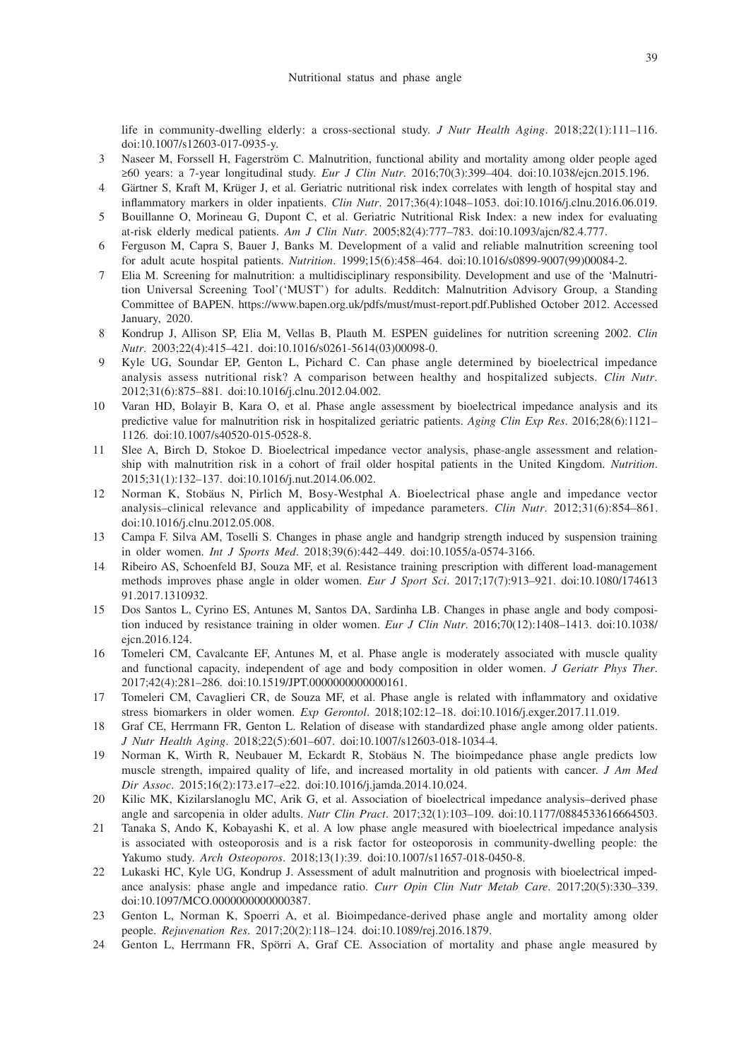life in community-dwelling elderly: a cross-sectional study. *J Nutr Health Aging*. 2018;22(1):111–116. doi:10.1007/s12603-017-0935-y.

- 3 Naseer M, Forssell H, Fagerström C. Malnutrition, functional ability and mortality among older people aged ≥60 years: a 7-year longitudinal study. *Eur J Clin Nutr*. 2016;70(3):399–404. doi:10.1038/ejcn.2015.196.
- 4 Gärtner S, Kraft M, Krüger J, et al. Geriatric nutritional risk index correlates with length of hospital stay and inflammatory markers in older inpatients. *Clin Nutr*. 2017;36(4):1048–1053. doi:10.1016/j.clnu.2016.06.019.
- 5 Bouillanne O, Morineau G, Dupont C, et al. Geriatric Nutritional Risk Index: a new index for evaluating at-risk elderly medical patients. *Am J Clin Nutr*. 2005;82(4):777–783. doi:10.1093/ajcn/82.4.777.
- 6 Ferguson M, Capra S, Bauer J, Banks M. Development of a valid and reliable malnutrition screening tool for adult acute hospital patients. *Nutrition*. 1999;15(6):458–464. doi:10.1016/s0899-9007(99)00084-2.
- 7 Elia M. Screening for malnutrition: a multidisciplinary responsibility. Development and use of the 'Malnutrition Universal Screening Tool'('MUST') for adults. Redditch: Malnutrition Advisory Group, a Standing Committee of BAPEN. https://www.bapen.org.uk/pdfs/must/must-report.pdf.Published October 2012. Accessed January, 2020.
- 8 Kondrup J, Allison SP, Elia M, Vellas B, Plauth M. ESPEN guidelines for nutrition screening 2002. *Clin Nutr*. 2003;22(4):415–421. doi:10.1016/s0261-5614(03)00098-0.
- 9 Kyle UG, Soundar EP, Genton L, Pichard C. Can phase angle determined by bioelectrical impedance analysis assess nutritional risk? A comparison between healthy and hospitalized subjects. *Clin Nutr*. 2012;31(6):875–881. doi:10.1016/j.clnu.2012.04.002.
- Varan HD, Bolayir B, Kara O, et al. Phase angle assessment by bioelectrical impedance analysis and its predictive value for malnutrition risk in hospitalized geriatric patients. *Aging Clin Exp Res*. 2016;28(6):1121– 1126. doi:10.1007/s40520-015-0528-8.
- 11 Slee A, Birch D, Stokoe D. Bioelectrical impedance vector analysis, phase-angle assessment and relationship with malnutrition risk in a cohort of frail older hospital patients in the United Kingdom. *Nutrition*. 2015;31(1):132–137. doi:10.1016/j.nut.2014.06.002.
- 12 Norman K, Stobäus N, Pirlich M, Bosy-Westphal A. Bioelectrical phase angle and impedance vector analysis–clinical relevance and applicability of impedance parameters. *Clin Nutr*. 2012;31(6):854–861. doi:10.1016/j.clnu.2012.05.008.
- 13 Campa F. Silva AM, Toselli S. Changes in phase angle and handgrip strength induced by suspension training in older women. *Int J Sports Med*. 2018;39(6):442–449. doi:10.1055/a-0574-3166.
- 14 Ribeiro AS, Schoenfeld BJ, Souza MF, et al. Resistance training prescription with different load-management methods improves phase angle in older women. *Eur J Sport Sci*. 2017;17(7):913–921. doi:10.1080/174613 91.2017.1310932.
- 15 Dos Santos L, Cyrino ES, Antunes M, Santos DA, Sardinha LB. Changes in phase angle and body composition induced by resistance training in older women. *Eur J Clin Nutr*. 2016;70(12):1408–1413. doi:10.1038/ ejcn.2016.124.
- 16 Tomeleri CM, Cavalcante EF, Antunes M, et al. Phase angle is moderately associated with muscle quality and functional capacity, independent of age and body composition in older women. *J Geriatr Phys Ther*. 2017;42(4):281–286. doi:10.1519/JPT.0000000000000161.
- 17 Tomeleri CM, Cavaglieri CR, de Souza MF, et al. Phase angle is related with inflammatory and oxidative stress biomarkers in older women. *Exp Gerontol*. 2018;102:12–18. doi:10.1016/j.exger.2017.11.019.
- 18 Graf CE, Herrmann FR, Genton L. Relation of disease with standardized phase angle among older patients. *J Nutr Health Aging*. 2018;22(5):601–607. doi:10.1007/s12603-018-1034-4.
- 19 Norman K, Wirth R, Neubauer M, Eckardt R, Stobäus N. The bioimpedance phase angle predicts low muscle strength, impaired quality of life, and increased mortality in old patients with cancer. *J Am Med Dir Assoc*. 2015;16(2):173.e17–e22. doi:10.1016/j.jamda.2014.10.024.
- 20 Kilic MK, Kizilarslanoglu MC, Arik G, et al. Association of bioelectrical impedance analysis–derived phase angle and sarcopenia in older adults. *Nutr Clin Pract*. 2017;32(1):103–109. doi:10.1177/0884533616664503.
- 21 Tanaka S, Ando K, Kobayashi K, et al. A low phase angle measured with bioelectrical impedance analysis is associated with osteoporosis and is a risk factor for osteoporosis in community-dwelling people: the Yakumo study. *Arch Osteoporos*. 2018;13(1):39. doi:10.1007/s11657-018-0450-8.
- 22 Lukaski HC, Kyle UG, Kondrup J. Assessment of adult malnutrition and prognosis with bioelectrical impedance analysis: phase angle and impedance ratio. *Curr Opin Clin Nutr Metab Care*. 2017;20(5):330–339. doi:10.1097/MCO.0000000000000387.
- 23 Genton L, Norman K, Spoerri A, et al. Bioimpedance-derived phase angle and mortality among older people. *Rejuvenation Res*. 2017;20(2):118–124. doi:10.1089/rej.2016.1879.
- 24 Genton L, Herrmann FR, Spörri A, Graf CE. Association of mortality and phase angle measured by